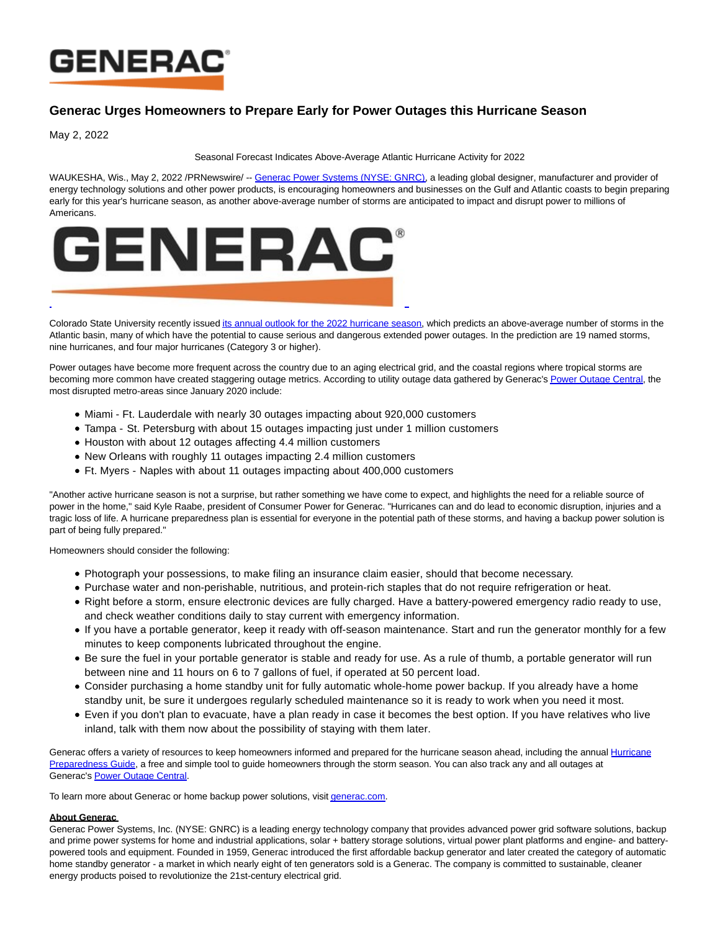

## **Generac Urges Homeowners to Prepare Early for Power Outages this Hurricane Season**

May 2, 2022

## Seasonal Forecast Indicates Above-Average Atlantic Hurricane Activity for 2022

WAUKESHA. Wis., May 2, 2022 /PRNewswire/ -- [Generac Power Systems \(NYSE: GNRC\),](https://c212.net/c/link/?t=0&l=en&o=3521727-1&h=1962189747&u=https%3A%2F%2Fwww.generac.com%2F%3F%26utm_source%3Dwire%26utm_medium%3Dpress-release%26utm_campaign%3Dapril-power-outage-prep%26utm_content%3Dhuricane-guide&a=Generac+Power+Systems+(NYSE%3A+GNRC)) a leading global designer, manufacturer and provider of energy technology solutions and other power products, is encouraging homeowners and businesses on the Gulf and Atlantic coasts to begin preparing early for this year's hurricane season, as another above-average number of storms are anticipated to impact and disrupt power to millions of Americans.



Colorado State University recently issue[d its annual outlook for the 2022 hurricane season,](https://c212.net/c/link/?t=0&l=en&o=3521727-1&h=459930696&u=https%3A%2F%2Ftropical.colostate.edu%2FForecast%2F2022-04.pdf&a=its+annual+outlook+for+the+2022+hurricane+season) which predicts an above-average number of storms in the Atlantic basin, many of which have the potential to cause serious and dangerous extended power outages. In the prediction are 19 named storms, nine hurricanes, and four major hurricanes (Category 3 or higher).

Power outages have become more frequent across the country due to an aging electrical grid, and the coastal regions where tropical storms are becoming more common have created staggering outage metrics. According to utility outage data gathered by Generac's [Power Outage Central,](https://c212.net/c/link/?t=0&l=en&o=3521727-1&h=1799522616&u=https%3A%2F%2Fwww.generac.com%2Foutages%3F%26utm_source%3Dwire%26utm_medium%3Dpress-release%26utm_campaign%3Dapril-power-outage-prep%26utm_content%3Dhuricane-guide&a=Power+Outage+Central) the most disrupted metro-areas since January 2020 include:

- Miami Ft. Lauderdale with nearly 30 outages impacting about 920,000 customers
- Tampa St. Petersburg with about 15 outages impacting just under 1 million customers
- Houston with about 12 outages affecting 4.4 million customers
- New Orleans with roughly 11 outages impacting 2.4 million customers
- Ft. Myers Naples with about 11 outages impacting about 400,000 customers

"Another active hurricane season is not a surprise, but rather something we have come to expect, and highlights the need for a reliable source of power in the home," said Kyle Raabe, president of Consumer Power for Generac. "Hurricanes can and do lead to economic disruption, injuries and a tragic loss of life. A hurricane preparedness plan is essential for everyone in the potential path of these storms, and having a backup power solution is part of being fully prepared."

Homeowners should consider the following:

- Photograph your possessions, to make filing an insurance claim easier, should that become necessary.
- Purchase water and non-perishable, nutritious, and protein-rich staples that do not require refrigeration or heat.
- Right before a storm, ensure electronic devices are fully charged. Have a battery-powered emergency radio ready to use, and check weather conditions daily to stay current with emergency information.
- If you have a portable generator, keep it ready with off-season maintenance. Start and run the generator monthly for a few minutes to keep components lubricated throughout the engine.
- Be sure the fuel in your portable generator is stable and ready for use. As a rule of thumb, a portable generator will run between nine and 11 hours on 6 to 7 gallons of fuel, if operated at 50 percent load.
- Consider purchasing a home standby unit for fully automatic whole-home power backup. If you already have a home standby unit, be sure it undergoes regularly scheduled maintenance so it is ready to work when you need it most.
- Even if you don't plan to evacuate, have a plan ready in case it becomes the best option. If you have relatives who live inland, talk with them now about the possibility of staying with them later.

Generac offers a variety of resources to keep homeowners informed and prepared for the hurricane season ahead, including the annual [Hurricane](https://c212.net/c/link/?t=0&l=en&o=3521727-1&h=4286571290&u=https%3A%2F%2Fwww.generac.com%2Fbe-prepared%2Fhurricane-prep%3F%26utm_source%3Dwire%26utm_medium%3Dpress-release%26utm_campaign%3Dapril-power-outage-prep%26utm_content%3Dhuricane-guide&a=Hurricane+Preparedness+Guide) Preparedness Guide, a free and simple tool to guide homeowners through the storm season. You can also track any and all outages at Generac's [Power Outage Central.](https://c212.net/c/link/?t=0&l=en&o=3521727-1&h=1799522616&u=https%3A%2F%2Fwww.generac.com%2Foutages%3F%26utm_source%3Dwire%26utm_medium%3Dpress-release%26utm_campaign%3Dapril-power-outage-prep%26utm_content%3Dhuricane-guide&a=Power+Outage+Central)

To learn more about Generac or home backup power solutions, visit *generac.com*.

## **About Generac**

Generac Power Systems, Inc. (NYSE: GNRC) is a leading energy technology company that provides advanced power grid software solutions, backup and prime power systems for home and industrial applications, solar + battery storage solutions, virtual power plant platforms and engine- and batterypowered tools and equipment. Founded in 1959, Generac introduced the first affordable backup generator and later created the category of automatic home standby generator - a market in which nearly eight of ten generators sold is a Generac. The company is committed to sustainable, cleaner energy products poised to revolutionize the 21st-century electrical grid.